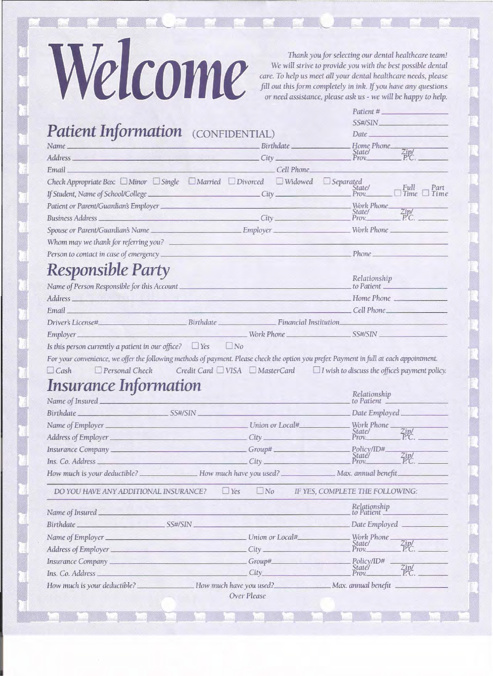## Welcome

Thank you for selecting our dental healthcare team! We will strive to provide you with the best possible dental care. To help us meet all your dental healthcare needs, please<br>fill out this form completely in ink. If you have any questions or need assistance, please ask us - we will be happy to help.

|                                                                        |                                                                                                                                                                                                                                          | $P$ <i>atient</i> $#_$                             |  |  |
|------------------------------------------------------------------------|------------------------------------------------------------------------------------------------------------------------------------------------------------------------------------------------------------------------------------------|----------------------------------------------------|--|--|
|                                                                        | SS#/SIN<br>Date has been a series of the series of the series of the series of the series of the series of the series of the series of the series of the series of the series of the series of the series of the series of the series of |                                                    |  |  |
|                                                                        | Patient Information (CONFIDENTIAL)                                                                                                                                                                                                       |                                                    |  |  |
| Name.                                                                  | Birthdate Birthdate<br>Address City City                                                                                                                                                                                                 | _Home Phone_<br>$\frac{Zip/}{P.C.}$<br>State/      |  |  |
|                                                                        |                                                                                                                                                                                                                                          | Prov                                               |  |  |
| Email                                                                  | Cell Phone                                                                                                                                                                                                                               |                                                    |  |  |
|                                                                        | Check Appropriate Box: UMinor USingle UMarried UDivorced UWidowed USeparated                                                                                                                                                             | State/<br>Full<br>Part<br>Time<br>Tim              |  |  |
|                                                                        |                                                                                                                                                                                                                                          | Work Phone                                         |  |  |
|                                                                        |                                                                                                                                                                                                                                          | $\frac{\text{Zipl}}{\text{PC}}$<br>State/<br>Prov. |  |  |
|                                                                        |                                                                                                                                                                                                                                          |                                                    |  |  |
|                                                                        |                                                                                                                                                                                                                                          |                                                    |  |  |
|                                                                        |                                                                                                                                                                                                                                          | $\_Phone$                                          |  |  |
|                                                                        |                                                                                                                                                                                                                                          |                                                    |  |  |
| <b>Responsible Party</b>                                               |                                                                                                                                                                                                                                          | Relationship                                       |  |  |
| Name of Person Responsible for this Account_                           |                                                                                                                                                                                                                                          | to Patient                                         |  |  |
|                                                                        |                                                                                                                                                                                                                                          |                                                    |  |  |
| <b>Email</b>                                                           | $Cell$ Phone                                                                                                                                                                                                                             |                                                    |  |  |
|                                                                        |                                                                                                                                                                                                                                          |                                                    |  |  |
|                                                                        |                                                                                                                                                                                                                                          |                                                    |  |  |
|                                                                        |                                                                                                                                                                                                                                          |                                                    |  |  |
| Is this person currently a patient in our office? $\Box$ Yes $\Box$ No | For your convenience, we offer the following methods of payment. Please check the option you prefer. Payment in full at each appointment.                                                                                                |                                                    |  |  |
| $D$ Personal Check                                                     | Credit Card $\Box$ VISA $\Box$ MasterCard $\Box$ I wish to discuss the office's payment policy                                                                                                                                           | Relationship                                       |  |  |
|                                                                        |                                                                                                                                                                                                                                          | to Patient _                                       |  |  |
|                                                                        |                                                                                                                                                                                                                                          |                                                    |  |  |
|                                                                        |                                                                                                                                                                                                                                          |                                                    |  |  |
|                                                                        |                                                                                                                                                                                                                                          | $Z_{P}^{ip}$                                       |  |  |
|                                                                        |                                                                                                                                                                                                                                          |                                                    |  |  |
|                                                                        |                                                                                                                                                                                                                                          | $Z_{P.C.}^{ip}$                                    |  |  |
|                                                                        | How much is your deductible? _________________How much have you used? ________________Max. annual benefit                                                                                                                                |                                                    |  |  |
| DO YOU HAVE ANY ADDITIONAL INSURANCE?                                  | Yes<br>$\Box$ No                                                                                                                                                                                                                         | IF YES, COMPLETE THE FOLLOWING:                    |  |  |
|                                                                        |                                                                                                                                                                                                                                          | Relationship<br>to Patient                         |  |  |
|                                                                        | Birthdate SS#/SIN                                                                                                                                                                                                                        | Date Employed                                      |  |  |
|                                                                        |                                                                                                                                                                                                                                          | Work Phone                                         |  |  |
|                                                                        | Address of Employer City                                                                                                                                                                                                                 | Zip/<br>State/<br>Prov.<br>$P^{\mathcal{L}}C$ .    |  |  |
|                                                                        | Insurance Company ________________________________Group#_________________________                                                                                                                                                        | Policy/ID#                                         |  |  |
| $\Box$ Cash<br><i><b>Insurance Information</b></i>                     |                                                                                                                                                                                                                                          | Staté/<br>Prov.<br>ZipC                            |  |  |